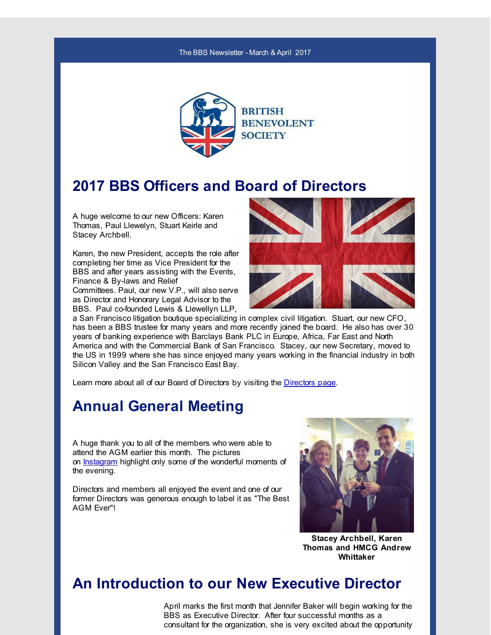#### The BBS Newsletter - March & April 2017



#### **2017 BBS Officers and Board of Directors**

A huge welcome to our new Officers: Karen Thomas, Paul Llewelyn, Stuart Keirle and Stacey Archbell.

Karen, the new President, accepts the role after completing her time as Vice President for the BBS and after years assisting with the Events, Finance & By-laws and Relief

Committees. Paul, our new V.P., will also serve as Director and Honorary Legal Advisor to the BBS. Paul co-founded Lewis & Llewellyn LLP,



a San Francisco litigation boutique specializing in complex civil litigation. Stuart, our new CFO, has been a BBS trustee for many years and more recently joined the board. He also has over 30 years of banking experience with Barclays Bank PLC in Europe, Africa, Far East and North America and with the Commercial Bank of San Francisco. Stacey, our new Secretary, moved to the US in 1999 where she has since enjoyed many years working in the financial industry in both Silicon Valley and the San Francisco East Bay.

Learn more about all of our Board of Directors by visiting the [Directors](http://r20.rs6.net/tn.jsp?f=001oMZ96fFvznEdKSn1L3kIkI8OHuJFUgR7WYYQBf_PMTtFOMn5XqzTPuRlqAkwMUED980yunzNBYb96-R6JIuwLUliT4Lu1YWKUdBTknJX7tjeJWkhCfxZBPmqscpJ6PGcug4sb0GIHHaDpvXfAENmmEGqPSlgby1TyeVgvLa0eeOi_MmRq85xbG1_08L2WAKZgq17sD1Wwzz2whqYiWZHv0Ig5VQ2ca1C&c=&ch=) page.

## **Annual General Meeting**

A huge thank you to all of the members who were able to attend the AGM earlier this month. The pictures on [Instagram](http://r20.rs6.net/tn.jsp?f=001oMZ96fFvznEdKSn1L3kIkI8OHuJFUgR7WYYQBf_PMTtFOMn5XqzTPsnWIoPiI5iAOMEfBD414lYF_YWOKSCqmsaQKHMwngXb098CAqGy6TD6cqmHmY-EUiLKGRLqJ8HTK_iWpbNJDuMbmcOBda1Hq2352yvXHJ-wc9CpuOkJc4t9qALAXONZ1_9TCmIsaEoNhYPXaaghW7bfUKnV-iO2MA==&c=&ch=) highlight only some of the wonderful moments of the evening.

Directors and members all enjoyed the event and one of our former Directors was generous enough to label it as "The Best AGM Ever"!



**Stacey Archbell, Karen Thomas and HMCG Andrew Whittaker**

## **An Introduction to our New Executive Director**

April marks the first month that Jennifer Baker will begin working for the BBS as Executive Director. After four successful months as a consultant for the organization, she is very excited about the opportunity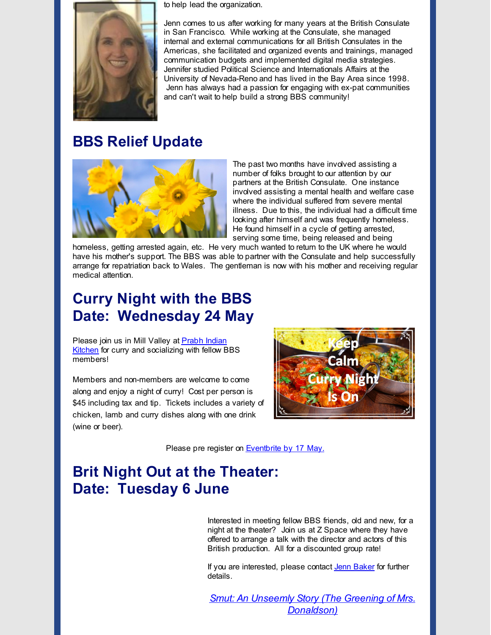

to help lead the organization.

Jenn comes to us after working for many years at the British Consulate in San Francisco. While working at the Consulate, she managed internal and external communications for all British Consulates in the Americas, she facilitated and organized events and trainings, managed communication budgets and implemented digital media strategies. Jennifer studied Political Science and Internationals Affairs at the University of Nevada-Reno and has lived in the Bay Area since 1998. Jenn has always had a passion for engaging with ex-pat communities and can't wait to help build a strong BBS community!

## **BBS Relief Update**



The past two months have involved assisting a number of folks brought to our attention by our partners at the British Consulate. One instance involved assisting a mental health and welfare case where the individual suffered from severe mental illness. Due to this, the individual had a difficult time looking after himself and was frequently homeless. He found himself in a cycle of getting arrested, serving some time, being released and being

homeless, getting arrested again, etc. He very much wanted to return to the UK where he would have his mother's support. The BBS was able to partner with the Consulate and help successfully arrange for repatriation back to Wales. The gentleman is now with his mother and receiving regular medical attention.

## **Curry Night with the BBS Date: Wednesday 24 May**

Please join us in Mill Valley at **Prabh Indian** Kitchen for curry and [socializing](http://r20.rs6.net/tn.jsp?f=001oMZ96fFvznEdKSn1L3kIkI8OHuJFUgR7WYYQBf_PMTtFOMn5XqzTPuRlqAkwMUEDZGoYMfaRN4Y--M0a42v0Jm-NgY5MPE2vqZVGv6NZvcZQHR2JTpNmnCVuIr4MGHEQp9svHhhtqB1Xk-rS48a9BtGcJp37LgHElmbkMRSEdBdodh5rofe-WaRQtV3oWhj0&c=&ch=) with fellow BBS members!

Members and non-members are welcome to come along and enjoy a night of curry! Cost per person is \$45 including tax and tip. Tickets includes a variety of chicken, lamb and curry dishes along with one drink (wine or beer).



Please pre register on [Eventbrite](http://r20.rs6.net/tn.jsp?f=001oMZ96fFvznEdKSn1L3kIkI8OHuJFUgR7WYYQBf_PMTtFOMn5XqzTPuRlqAkwMUEDC7Y2_FFARC2TrHxRWIepVe2JILhrBqDWgK7F9joKLnHFnl8GtMsrJ-X_W-nn5-xpalUI-dTAqv2DJO121vo0SZHy380mmgWJ08E1g0nxy3-XthbqI3anhfBklaihdV8wA2xz7bDCU_vlUasG7g9roBCuETErVfu__uzqRFO6TvRt2gXmA3baoQBl1naj-qO-fvdlxHKhYHs-f2hGKOLqRdzNM8vfqu2l&c=&ch=) by 17 May.

# **Brit Night Out at the Theater: Date: Tuesday 6 June**

Interested in meeting fellow BBS friends, old and new, for a night at the theater? Join us at Z Space where they have offered to arrange a talk with the director and actors of this British production. All for a discounted group rate!

If you are interested, please contact Jenn [Baker](mailto:jennifer.baker@bbsofca.org) for further details.

*Smut: An Unseemly Story (The Greening of Mrs. [Donaldson\)](http://r20.rs6.net/tn.jsp?f=001oMZ96fFvznEdKSn1L3kIkI8OHuJFUgR7WYYQBf_PMTtFOMn5XqzTPuRlqAkwMUEDkKh9e5kNnG4cUjcKOeXC7dkPSZE-7ZBhqb3fOSNNpU6PFRfpMuhtrlyGscKu4TeIL0Uw5FLGocmASmOIJl1VcIRJQGGAX-0AzAxzC6UzWLnXNqIb74d5fiazXSBBGduo&c=&ch=)*